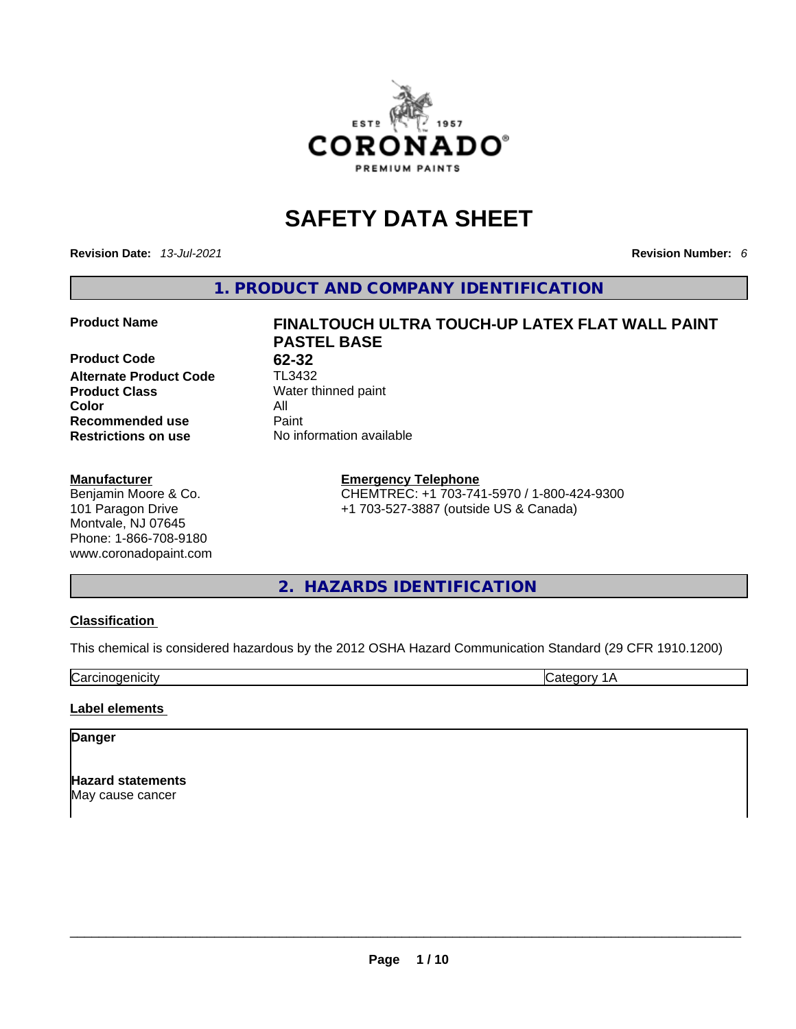

# **SAFETY DATA SHEET**

**Revision Date:** *13-Jul-2021* **Revision Number:** *6*

**1. PRODUCT AND COMPANY IDENTIFICATION** 

**Product Code 62-32**<br>**Alternate Product Code** TL3432 **Alternate Product Code Product Class Water thinned paint Color** All **Recommended use Paint Restrictions on use** No information available

#### **Manufacturer**

Benjamin Moore & Co. 101 Paragon Drive Montvale, NJ 07645 Phone: 1-866-708-9180 www.coronadopaint.com

# **Product Name FINALTOUCH ULTRA TOUCH-UP LATEX FLAT WALL PAINT PASTEL BASE**

## **Emergency Telephone** CHEMTREC: +1 703-741-5970 / 1-800-424-9300

+1 703-527-3887 (outside US & Canada)

# **2. HAZARDS IDENTIFICATION**

#### **Classification**

This chemical is considered hazardous by the 2012 OSHA Hazard Communication Standard (29 CFR 1910.1200)

Carcinogenicity **Category 1A** 

#### **Label elements**

#### **Danger**

**Hazard statements** May cause cancer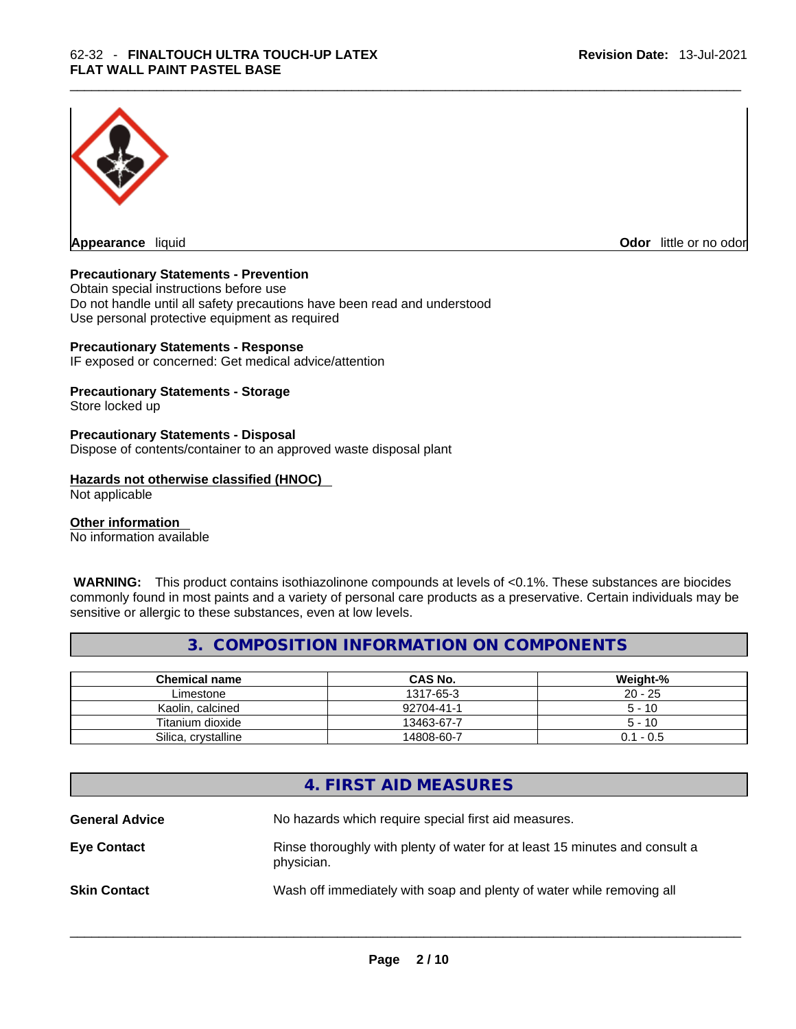

**Appearance** liquid **Odor 11** and **Odor 11** and **Odor 11** and **Odor 11** and **Odor 11** and **Odor** 11 and **Odor** 11 and **Odor** 11 and **Odor** 11 and **Odor** 11 and **Odor** 11 and **Odor** 11 and **Odor** 11 and **Odor** 11 and **Odor** 

#### **Precautionary Statements - Prevention**

Obtain special instructions before use Do not handle until all safety precautions have been read and understood Use personal protective equipment as required

#### **Precautionary Statements - Response**

IF exposed or concerned: Get medical advice/attention

#### **Precautionary Statements - Storage**

Store locked up

#### **Precautionary Statements - Disposal**

Dispose of contents/container to an approved waste disposal plant

#### **Hazards not otherwise classified (HNOC)**

Not applicable

#### **Other information**

No information available

 **WARNING:** This product contains isothiazolinone compounds at levels of <0.1%. These substances are biocides commonly found in most paints and a variety of personal care products as a preservative. Certain individuals may be sensitive or allergic to these substances, even at low levels.

#### **3. COMPOSITION INFORMATION ON COMPONENTS**

| <b>Chemical name</b> | <b>CAS No.</b> | Weight-%    |
|----------------------|----------------|-------------|
| Limestone            | 1317-65-3      | $20 - 25$   |
| Kaolin, calcined     | 92704-41-1     | $5 - 10$    |
| Titanium dioxide     | 13463-67-7     | $5 - 10$    |
| Silica, crystalline  | 14808-60-7     | $0.1 - 0.5$ |

### **4. FIRST AID MEASURES**

**General Advice** No hazards which require special first aid measures. **Eye Contact** Rinse thoroughly with plenty of water for at least 15 minutes and consult a physician. **Skin Contact Wash off immediately with soap and plenty of water while removing all**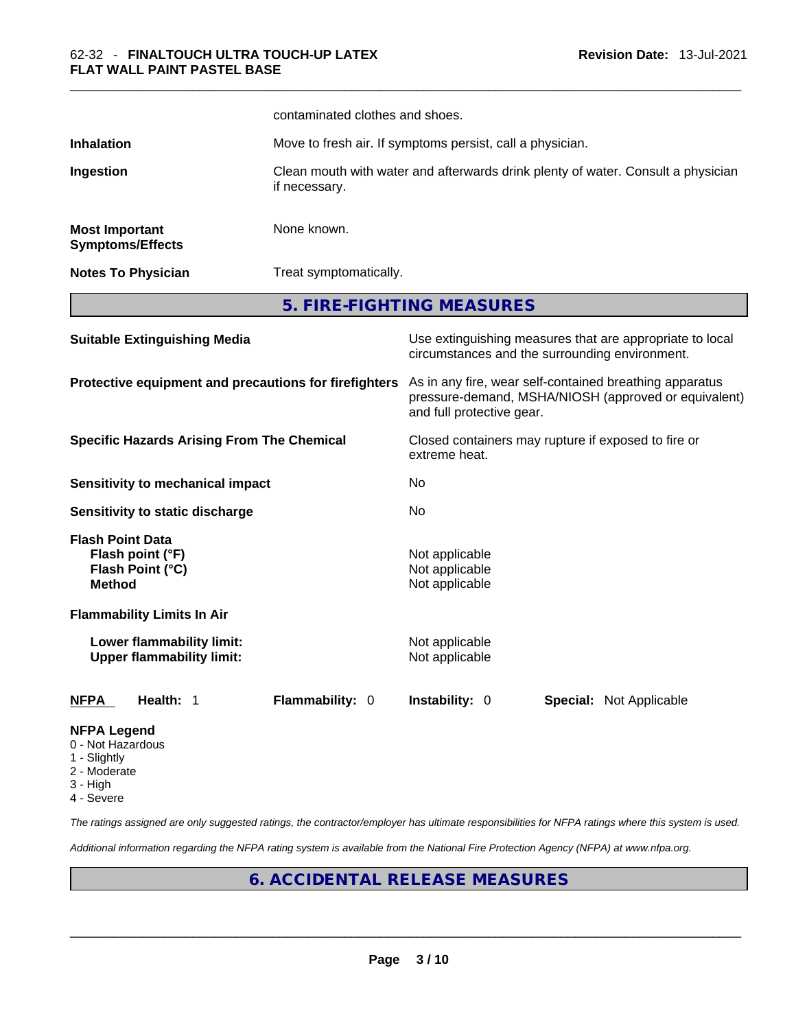|                                                                                  | contaminated clothes and shoes. |                                                                                                                                              |  |  |
|----------------------------------------------------------------------------------|---------------------------------|----------------------------------------------------------------------------------------------------------------------------------------------|--|--|
| <b>Inhalation</b>                                                                |                                 | Move to fresh air. If symptoms persist, call a physician.                                                                                    |  |  |
| Ingestion                                                                        | if necessary.                   | Clean mouth with water and afterwards drink plenty of water. Consult a physician                                                             |  |  |
| <b>Most Important</b><br><b>Symptoms/Effects</b>                                 | None known.                     |                                                                                                                                              |  |  |
| <b>Notes To Physician</b>                                                        |                                 | Treat symptomatically.                                                                                                                       |  |  |
|                                                                                  |                                 | 5. FIRE-FIGHTING MEASURES                                                                                                                    |  |  |
| <b>Suitable Extinguishing Media</b>                                              |                                 | Use extinguishing measures that are appropriate to local<br>circumstances and the surrounding environment.                                   |  |  |
| Protective equipment and precautions for firefighters                            |                                 | As in any fire, wear self-contained breathing apparatus<br>pressure-demand, MSHA/NIOSH (approved or equivalent)<br>and full protective gear. |  |  |
| <b>Specific Hazards Arising From The Chemical</b>                                |                                 | Closed containers may rupture if exposed to fire or<br>extreme heat.                                                                         |  |  |
| <b>Sensitivity to mechanical impact</b>                                          |                                 | No                                                                                                                                           |  |  |
| Sensitivity to static discharge                                                  |                                 | No                                                                                                                                           |  |  |
| <b>Flash Point Data</b><br>Flash point (°F)<br>Flash Point (°C)<br><b>Method</b> |                                 | Not applicable<br>Not applicable<br>Not applicable                                                                                           |  |  |
| <b>Flammability Limits In Air</b>                                                |                                 |                                                                                                                                              |  |  |
| Lower flammability limit:<br><b>Upper flammability limit:</b>                    |                                 | Not applicable<br>Not applicable                                                                                                             |  |  |
| <b>NFPA</b><br>Health: 1                                                         | Flammability: 0                 | <b>Instability: 0</b><br><b>Special: Not Applicable</b>                                                                                      |  |  |
| <b>NFPA Legend</b><br>0 - Not Hazardous                                          |                                 |                                                                                                                                              |  |  |

- 1 Slightly
- 2 Moderate
- 3 High
- 4 Severe

*The ratings assigned are only suggested ratings, the contractor/employer has ultimate responsibilities for NFPA ratings where this system is used.* 

*Additional information regarding the NFPA rating system is available from the National Fire Protection Agency (NFPA) at www.nfpa.org.* 

# **6. ACCIDENTAL RELEASE MEASURES**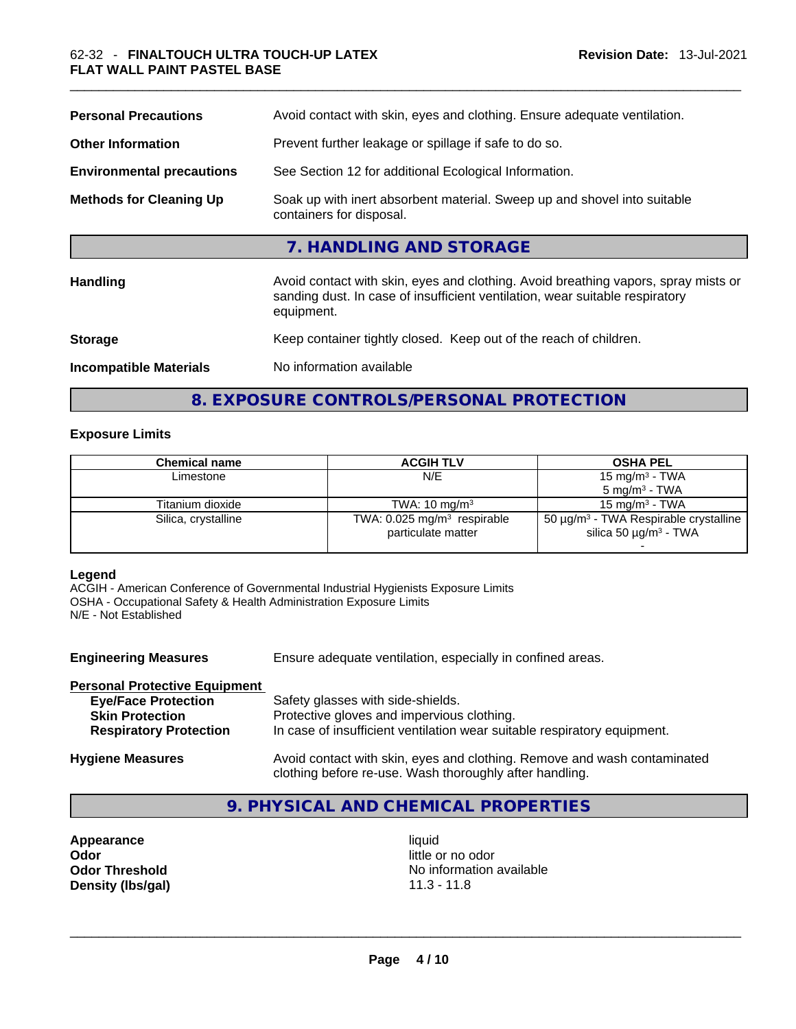| <b>Personal Precautions</b>      | Avoid contact with skin, eyes and clothing. Ensure adequate ventilation.                                                                                                         |
|----------------------------------|----------------------------------------------------------------------------------------------------------------------------------------------------------------------------------|
| <b>Other Information</b>         | Prevent further leakage or spillage if safe to do so.                                                                                                                            |
| <b>Environmental precautions</b> | See Section 12 for additional Ecological Information.                                                                                                                            |
| <b>Methods for Cleaning Up</b>   | Soak up with inert absorbent material. Sweep up and shovel into suitable<br>containers for disposal.                                                                             |
|                                  | 7. HANDLING AND STORAGE                                                                                                                                                          |
| Handling                         | Avoid contact with skin, eyes and clothing. Avoid breathing vapors, spray mists or<br>sanding dust. In case of insufficient ventilation, wear suitable respiratory<br>equipment. |
| <b>Storage</b>                   | Keep container tightly closed. Keep out of the reach of children.                                                                                                                |
| <b>Incompatible Materials</b>    | No information available                                                                                                                                                         |

# **8. EXPOSURE CONTROLS/PERSONAL PROTECTION**

#### **Exposure Limits**

| Chemical name       | <b>ACGIH TLV</b>                                                | <b>OSHA PEL</b>                                                                                  |
|---------------------|-----------------------------------------------------------------|--------------------------------------------------------------------------------------------------|
| Limestone           | N/E                                                             | 15 mg/m $3$ - TWA                                                                                |
|                     |                                                                 | $5 \text{ mg/m}^3$ - TWA                                                                         |
| Titanium dioxide    | TWA: $10 \text{ mg/m}^3$                                        | 15 mg/m $3$ - TWA                                                                                |
| Silica, crystalline | TWA: $0.025$ mg/m <sup>3</sup> respirable<br>particulate matter | 50 $\mu$ g/m <sup>3</sup> - TWA Respirable crystalline<br>silica 50 $\mu$ g/m <sup>3</sup> - TWA |
|                     |                                                                 |                                                                                                  |

#### **Legend**

ACGIH - American Conference of Governmental Industrial Hygienists Exposure Limits OSHA - Occupational Safety & Health Administration Exposure Limits N/E - Not Established

| <b>Engineering Measures</b>          | Ensure adequate ventilation, especially in confined areas.                                                                          |  |  |
|--------------------------------------|-------------------------------------------------------------------------------------------------------------------------------------|--|--|
| <b>Personal Protective Equipment</b> |                                                                                                                                     |  |  |
| <b>Eye/Face Protection</b>           | Safety glasses with side-shields.                                                                                                   |  |  |
| <b>Skin Protection</b>               | Protective gloves and impervious clothing.                                                                                          |  |  |
| <b>Respiratory Protection</b>        | In case of insufficient ventilation wear suitable respiratory equipment.                                                            |  |  |
| <b>Hygiene Measures</b>              | Avoid contact with skin, eyes and clothing. Remove and wash contaminated<br>clothing before re-use. Wash thoroughly after handling. |  |  |

# **9. PHYSICAL AND CHEMICAL PROPERTIES**

**Appearance liquid Odor** little or no odor

**Odor Threshold** No information available **Density (lbs/gal)** 11.3 - 11.8 \_\_\_\_\_\_\_\_\_\_\_\_\_\_\_\_\_\_\_\_\_\_\_\_\_\_\_\_\_\_\_\_\_\_\_\_\_\_\_\_\_\_\_\_\_\_\_\_\_\_\_\_\_\_\_\_\_\_\_\_\_\_\_\_\_\_\_\_\_\_\_\_\_\_\_\_\_\_\_\_\_\_\_\_\_\_\_\_\_\_\_\_\_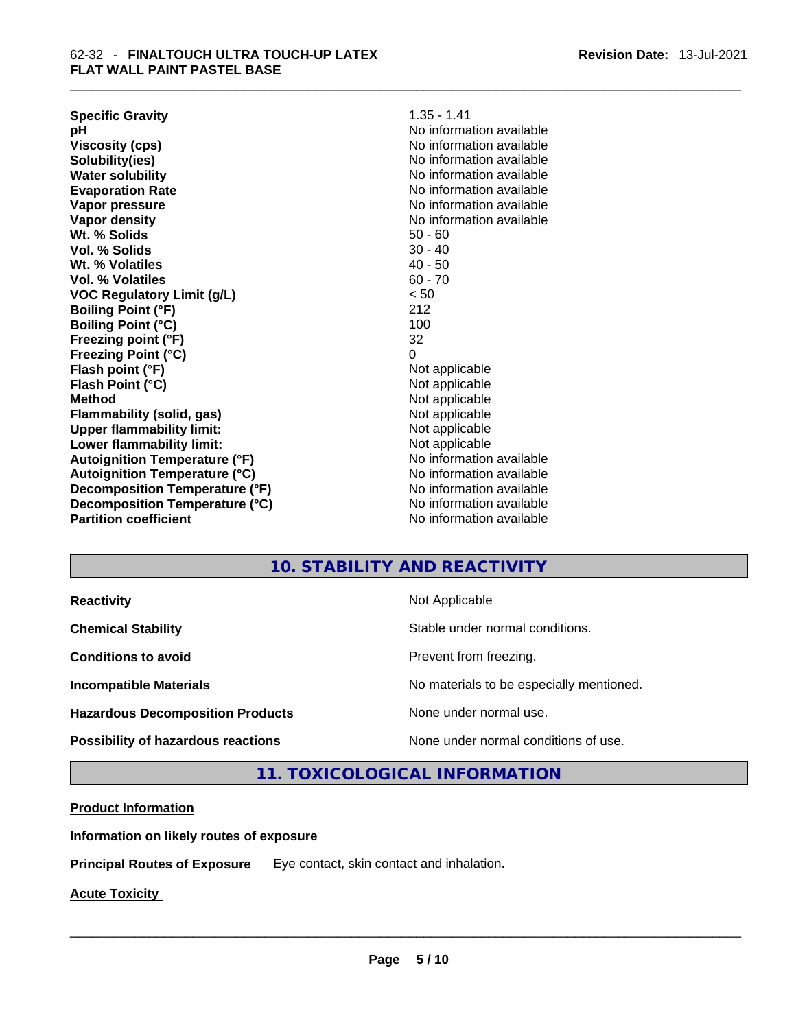| <b>Specific Gravity</b>              | $1.35 - 1.41$            |
|--------------------------------------|--------------------------|
| рH                                   | No information available |
| <b>Viscosity (cps)</b>               | No information available |
| Solubility(ies)                      | No information available |
| <b>Water solubility</b>              | No information available |
| <b>Evaporation Rate</b>              | No information available |
| Vapor pressure                       | No information available |
| Vapor density                        | No information available |
| Wt. % Solids                         | $50 - 60$                |
| Vol. % Solids                        | $30 - 40$                |
| Wt. % Volatiles                      | $40 - 50$                |
| Vol. % Volatiles                     | $60 - 70$                |
| <b>VOC Regulatory Limit (g/L)</b>    | < 50                     |
| <b>Boiling Point (°F)</b>            | 212                      |
| <b>Boiling Point (°C)</b>            | 100                      |
| Freezing point (°F)                  | 32                       |
| <b>Freezing Point (°C)</b>           | 0                        |
| Flash point (°F)                     | Not applicable           |
| Flash Point (°C)                     | Not applicable           |
| <b>Method</b>                        | Not applicable           |
| Flammability (solid, gas)            | Not applicable           |
| <b>Upper flammability limit:</b>     | Not applicable           |
| Lower flammability limit:            | Not applicable           |
| <b>Autoignition Temperature (°F)</b> | No information available |
| <b>Autoignition Temperature (°C)</b> | No information available |
| Decomposition Temperature (°F)       | No information available |
| Decomposition Temperature (°C)       | No information available |
| <b>Partition coefficient</b>         | No information available |

# **10. STABILITY AND REACTIVITY**

| <b>Reactivity</b> |
|-------------------|
|                   |

**Hazardous Decomposition Products** None under normal use.

**Not Applicable** 

**Chemical Stability Chemical Stability** Stable under normal conditions.

**Conditions to avoid Conditions to avoid Prevent from freezing.** 

**Incompatible Materials Materials Materials No materials to be especially mentioned.** 

**Possibility of hazardous reactions** None under normal conditions of use.

**11. TOXICOLOGICAL INFORMATION** 

**Product Information**

**Information on likely routes of exposure**

**Principal Routes of Exposure** Eye contact, skin contact and inhalation.

**Acute Toxicity**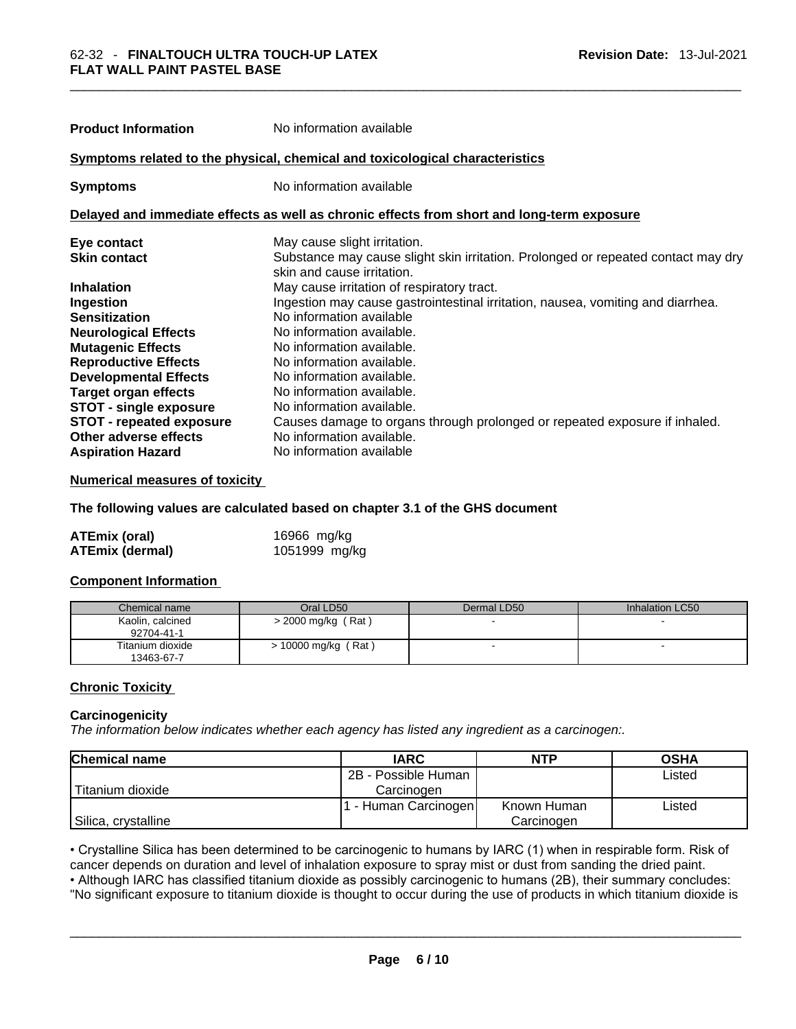| <b>Product Information</b>                                                                 | No information available                                                                                        |  |  |  |
|--------------------------------------------------------------------------------------------|-----------------------------------------------------------------------------------------------------------------|--|--|--|
| Symptoms related to the physical, chemical and toxicological characteristics               |                                                                                                                 |  |  |  |
| <b>Symptoms</b>                                                                            | No information available                                                                                        |  |  |  |
| Delayed and immediate effects as well as chronic effects from short and long-term exposure |                                                                                                                 |  |  |  |
| Eye contact                                                                                | May cause slight irritation.                                                                                    |  |  |  |
| <b>Skin contact</b>                                                                        | Substance may cause slight skin irritation. Prolonged or repeated contact may dry<br>skin and cause irritation. |  |  |  |
| <b>Inhalation</b>                                                                          | May cause irritation of respiratory tract.                                                                      |  |  |  |
| <b>Ingestion</b>                                                                           | Ingestion may cause gastrointestinal irritation, nausea, vomiting and diarrhea.                                 |  |  |  |
| <b>Sensitization</b>                                                                       | No information available                                                                                        |  |  |  |
| <b>Neurological Effects</b>                                                                | No information available.                                                                                       |  |  |  |
| <b>Mutagenic Effects</b>                                                                   | No information available.                                                                                       |  |  |  |
| <b>Reproductive Effects</b>                                                                | No information available.                                                                                       |  |  |  |
| <b>Developmental Effects</b>                                                               | No information available.                                                                                       |  |  |  |
| Target organ effects                                                                       | No information available.                                                                                       |  |  |  |
| <b>STOT - single exposure</b>                                                              | No information available.                                                                                       |  |  |  |
| <b>STOT - repeated exposure</b>                                                            | Causes damage to organs through prolonged or repeated exposure if inhaled.                                      |  |  |  |
| Other adverse effects                                                                      | No information available.                                                                                       |  |  |  |

#### **Numerical measures of toxicity**

#### **The following values are calculated based on chapter 3.1 of the GHS document**

| <b>ATEmix (oral)</b>   | 16966 mg/kg   |
|------------------------|---------------|
| <b>ATEmix (dermal)</b> | 1051999 mg/kg |

**Aspiration Hazard**  No information available

#### **Component Information**

| Chemical name                  | Oral LD50             | Dermal LD50 | Inhalation LC50 |
|--------------------------------|-----------------------|-------------|-----------------|
| Kaolin, calcined<br>92704-41-1 | > 2000 mg/kg (Rat)    |             |                 |
| Titanium dioxide<br>13463-67-7 | $> 10000$ mg/kg (Rat) |             |                 |

#### **Chronic Toxicity**

#### **Carcinogenicity**

*The information below indicates whether each agency has listed any ingredient as a carcinogen:.* 

| <b>Chemical name</b> | <b>IARC</b>          | <b>NTP</b>  | <b>OSHA</b> |
|----------------------|----------------------|-------------|-------------|
|                      | 2B - Possible Human  |             | Listed      |
| Titanium dioxide     | Carcinogen           |             |             |
|                      | 1 - Human Carcinogen | Known Human | Listed      |
| Silica, crystalline  |                      | Carcinogen  |             |

• Crystalline Silica has been determined to be carcinogenic to humans by IARC (1) when in respirable form. Risk of cancer depends on duration and level of inhalation exposure to spray mist or dust from sanding the dried paint.• Although IARC has classified titanium dioxide as possibly carcinogenic to humans (2B), their summary concludes:

"No significant exposure to titanium dioxide is thought to occur during the use of products in which titanium dioxide is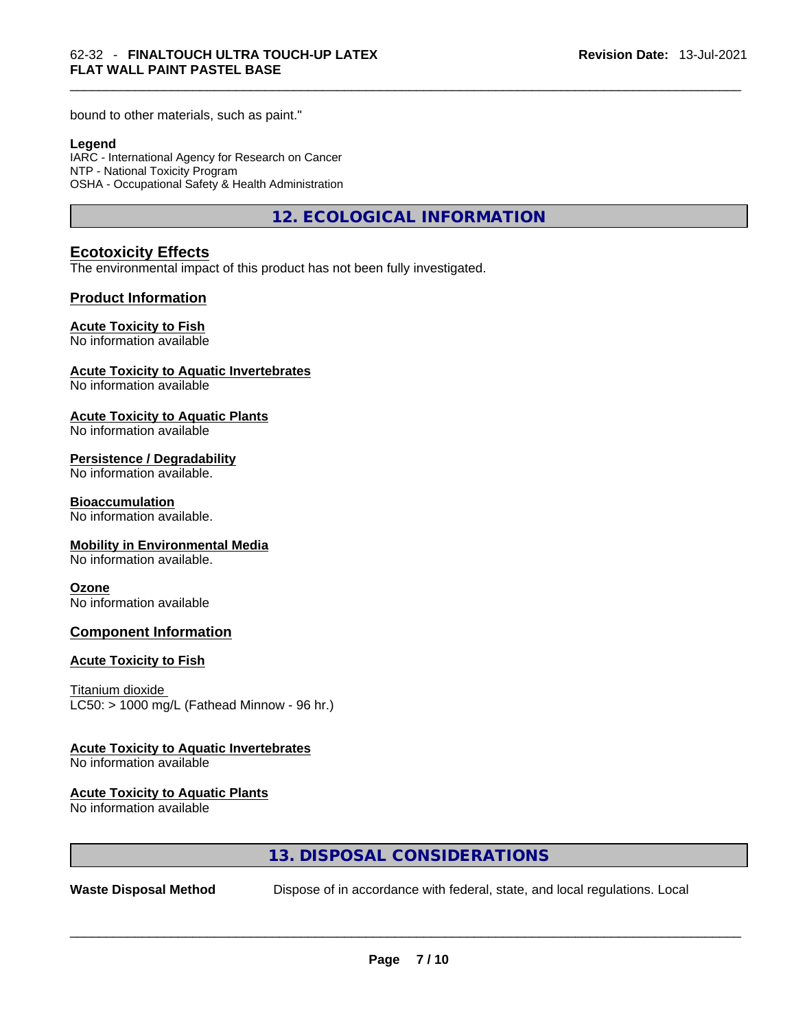bound to other materials, such as paint."

#### **Legend**

IARC - International Agency for Research on Cancer NTP - National Toxicity Program OSHA - Occupational Safety & Health Administration

**12. ECOLOGICAL INFORMATION** 

#### **Ecotoxicity Effects**

The environmental impact of this product has not been fully investigated.

#### **Product Information**

#### **Acute Toxicity to Fish**

No information available

#### **Acute Toxicity to Aquatic Invertebrates**

No information available

#### **Acute Toxicity to Aquatic Plants**

No information available

#### **Persistence / Degradability**

No information available.

#### **Bioaccumulation**

No information available.

#### **Mobility in Environmental Media**

No information available.

#### **Ozone**

No information available

#### **Component Information**

#### **Acute Toxicity to Fish**

Titanium dioxide  $LC50:$  > 1000 mg/L (Fathead Minnow - 96 hr.)

#### **Acute Toxicity to Aquatic Invertebrates**

No information available

#### **Acute Toxicity to Aquatic Plants**

No information available

#### **13. DISPOSAL CONSIDERATIONS**

**Waste Disposal Method** Dispose of in accordance with federal, state, and local regulations. Local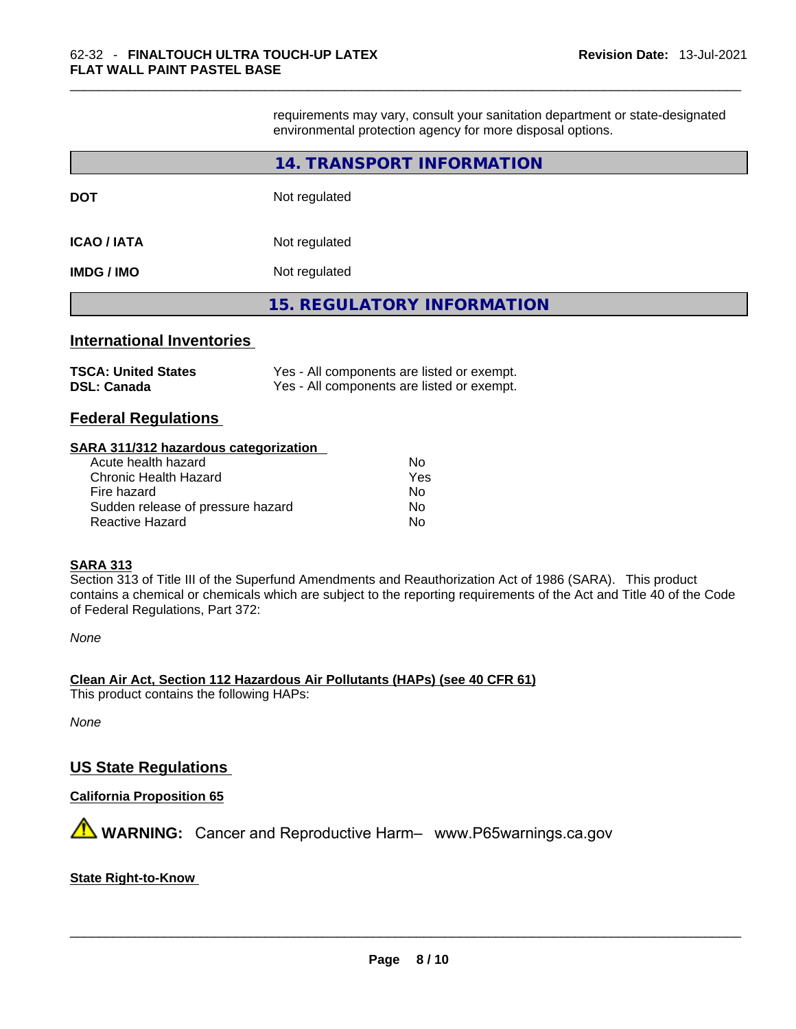requirements may vary, consult your sanitation department or state-designated environmental protection agency for more disposal options.

|                                  | 14. TRANSPORT INFORMATION                  |
|----------------------------------|--------------------------------------------|
| DOT                              | Not regulated                              |
| <b>ICAO / IATA</b>               | Not regulated                              |
| IMDG / IMO                       | Not regulated                              |
|                                  | <b>15. REGULATORY INFORMATION</b>          |
| <b>International Inventories</b> |                                            |
| <b>TSCA: United States</b>       | Yes - All components are listed or exempt. |

**DSL: Canada** Yes - All components are listed or exempt.

#### **Federal Regulations**

#### **SARA 311/312 hazardous categorization**

| Acute health hazard               | No  |
|-----------------------------------|-----|
| Chronic Health Hazard             | Yes |
| Fire hazard                       | No  |
| Sudden release of pressure hazard | No  |
| Reactive Hazard                   | N٥  |

#### **SARA 313**

Section 313 of Title III of the Superfund Amendments and Reauthorization Act of 1986 (SARA). This product contains a chemical or chemicals which are subject to the reporting requirements of the Act and Title 40 of the Code of Federal Regulations, Part 372:

*None*

**Clean Air Act,Section 112 Hazardous Air Pollutants (HAPs) (see 40 CFR 61)** This product contains the following HAPs:

*None*

### **US State Regulations**

#### **California Proposition 65**

 **WARNING:** Cancer and Reproductive Harm– www.P65warnings.ca.gov

#### **State Right-to-Know**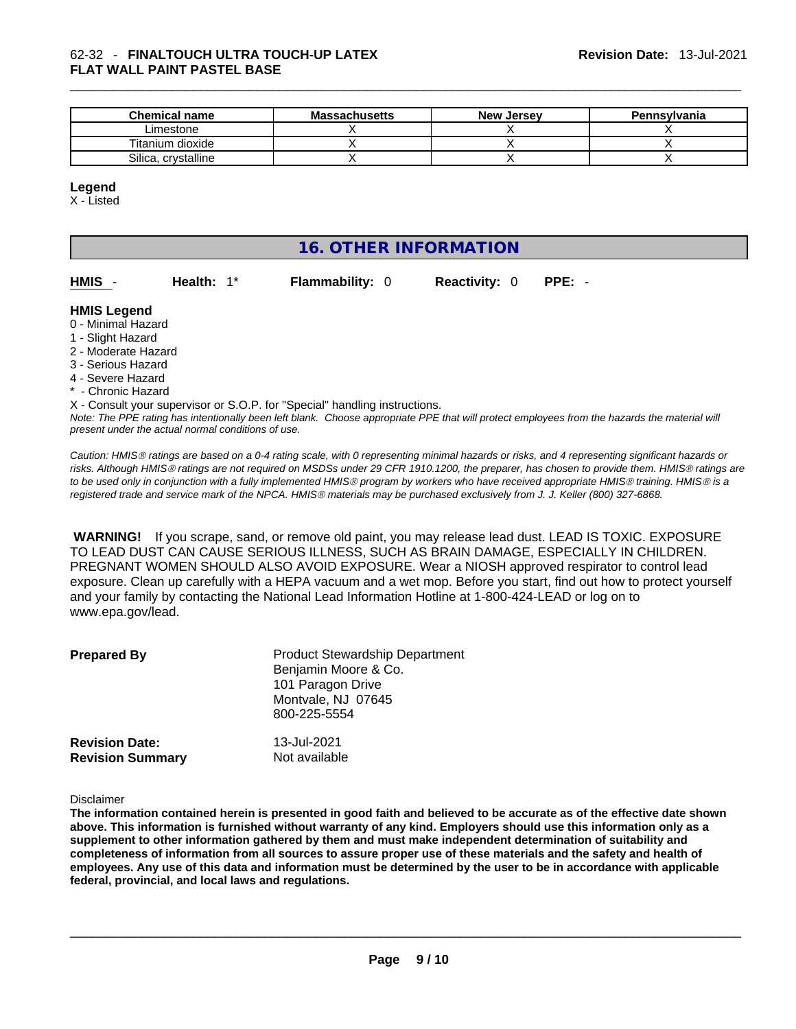| <b>Chemical name</b> | <b>Massachusetts</b> | <b>New Jersey</b> | <b>Pennsylvania</b> |
|----------------------|----------------------|-------------------|---------------------|
| ∟imestone            |                      |                   |                     |
| Titanium dioxide     |                      |                   |                     |
| Silica, crvstalline  |                      |                   |                     |

#### **Legend**

X - Listed

# **16. OTHER INFORMATION**

| HMIS - | Health: $1^*$ | <b>Flammability: 0</b> | <b>Reactivity: 0 PPE: -</b> |  |
|--------|---------------|------------------------|-----------------------------|--|
|        |               |                        |                             |  |

#### **HMIS Legend**

- 0 Minimal Hazard
- 1 Slight Hazard
- 2 Moderate Hazard
- 3 Serious Hazard
- 4 Severe Hazard
- Chronic Hazard

X - Consult your supervisor or S.O.P. for "Special" handling instructions.

Note: The PPE rating has intentionally been left blank. Choose appropriate PPE that will protect employees from the hazards the material will *present under the actual normal conditions of use.* 

*Caution: HMISÒ ratings are based on a 0-4 rating scale, with 0 representing minimal hazards or risks, and 4 representing significant hazards or risks. Although HMISÒ ratings are not required on MSDSs under 29 CFR 1910.1200, the preparer, has chosen to provide them. HMISÒ ratings are to be used only in conjunction with a fully implemented HMISÒ program by workers who have received appropriate HMISÒ training. HMISÒ is a registered trade and service mark of the NPCA. HMISÒ materials may be purchased exclusively from J. J. Keller (800) 327-6868.* 

 **WARNING!** If you scrape, sand, or remove old paint, you may release lead dust. LEAD IS TOXIC. EXPOSURE TO LEAD DUST CAN CAUSE SERIOUS ILLNESS, SUCH AS BRAIN DAMAGE, ESPECIALLY IN CHILDREN. PREGNANT WOMEN SHOULD ALSO AVOID EXPOSURE.Wear a NIOSH approved respirator to control lead exposure. Clean up carefully with a HEPA vacuum and a wet mop. Before you start, find out how to protect yourself and your family by contacting the National Lead Information Hotline at 1-800-424-LEAD or log on to www.epa.gov/lead.

| <b>Prepared By</b>                               | <b>Product Stewardship Department</b><br>Benjamin Moore & Co.<br>101 Paragon Drive<br>Montvale, NJ 07645<br>800-225-5554 |  |
|--------------------------------------------------|--------------------------------------------------------------------------------------------------------------------------|--|
| <b>Revision Date:</b><br><b>Revision Summary</b> | 13-Jul-2021<br>Not available                                                                                             |  |

#### Disclaimer

The information contained herein is presented in good faith and believed to be accurate as of the effective date shown above. This information is furnished without warranty of any kind. Employers should use this information only as a **supplement to other information gathered by them and must make independent determination of suitability and** completeness of information from all sources to assure proper use of these materials and the safety and health of employees. Any use of this data and information must be determined by the user to be in accordance with applicable **federal, provincial, and local laws and regulations.**